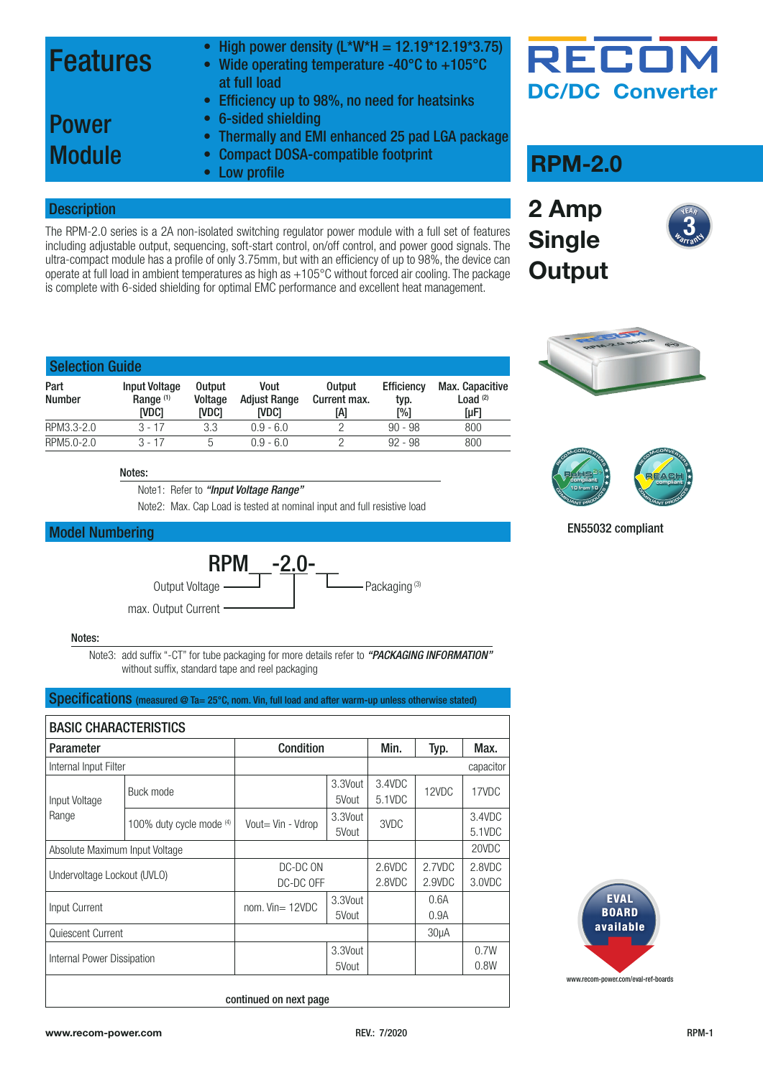### Features

- High power density  $(L*W*H = 12.19*12.19*3.75)$
- Wide operating temperature -40°C to +105°C at full load
- Efficiency up to 98%, no need for heatsinks

### Power **Module**

- 6-sided shielding • Thermally and EMI enhanced 25 pad LGA package
- Compact DOSA-compatible footprint
- Low profile

#### **Description**

The RPM-2.0 series is a 2A non-isolated switching regulator power module with a full set of features including adjustable output, sequencing, soft-start control, on/off control, and power good signals. The ultra-compact module has a profile of only 3.75mm, but with an efficiency of up to 98%, the device can operate at full load in ambient temperatures as high as +105°C without forced air cooling. The package is complete with 6-sided shielding for optimal EMC performance and excellent heat management.



### **RPM-2.0**









| <b>Selection Guide</b> |                                                       |                                          |                                      |                               |                                  |                                            |  |  |  |
|------------------------|-------------------------------------------------------|------------------------------------------|--------------------------------------|-------------------------------|----------------------------------|--------------------------------------------|--|--|--|
| Part<br><b>Number</b>  | <b>Input Voltage</b><br>Range <sup>(1)</sup><br>[VDC] | <b>Output</b><br>Voltage<br><b>IVDC1</b> | Vout<br><b>Adjust Range</b><br>IVDC1 | Output<br>Current max.<br>[A] | <b>Efficiency</b><br>typ.<br>[%] | Max. Capacitive<br>Load $(2)$<br>$[\mu F]$ |  |  |  |
| RPM3.3-2.0             | $3 - 17$                                              | 3.3                                      | $0.9 - 6.0$                          | ◠                             | $90 - 98$                        | 800                                        |  |  |  |
| RPM5.0-2.0             | $3 - 17$                                              | 5                                        | $0.9 - 6.0$                          |                               | $92 - 98$                        | 800                                        |  |  |  |

Notes:

Note1: Refer to *["Input Voltage Range"](#page-0-0)*

Note2: Max. Cap Load is tested at nominal input and full resistive load

#### Model Numbering



#### Notes:

Note3: add suffix "-CT" for tube packaging for more details refer to *["PACKAGING INFORMATION"](#page-8-0)* without suffix, standard tape and reel packaging

<span id="page-0-0"></span>

| Specifications (measured @ Ta= 25°C, nom. Vin, full load and after warm-up unless otherwise stated) |                                |                       |                  |                  |                   |                  |  |  |  |
|-----------------------------------------------------------------------------------------------------|--------------------------------|-----------------------|------------------|------------------|-------------------|------------------|--|--|--|
|                                                                                                     | <b>BASIC CHARACTERISTICS</b>   |                       |                  |                  |                   |                  |  |  |  |
| <b>Parameter</b>                                                                                    |                                | <b>Condition</b>      |                  | Min.             | Typ.              | Max.             |  |  |  |
| Internal Input Filter                                                                               |                                |                       |                  |                  |                   | capacitor        |  |  |  |
| Input Voltage<br>Range                                                                              | Buck mode                      |                       | 3.3Vout<br>5Vout | 3.4VDC<br>5.1VDC | 12VDC             | 17VDC            |  |  |  |
|                                                                                                     | 100% duty cycle mode (4)       | Vout= Vin - Vdrop     | 3.3Vout<br>5Vout | 3VDC             |                   | 3.4VDC<br>5.1VDC |  |  |  |
|                                                                                                     | Absolute Maximum Input Voltage |                       |                  |                  |                   | 20VDC            |  |  |  |
| Undervoltage Lockout (UVLO)                                                                         |                                | DC-DC ON<br>DC-DC OFF |                  | 2.6VDC<br>2.8VDC | 2.7VDC<br>2.9VDC  | 2.8VDC<br>3.0VDC |  |  |  |
| Input Current                                                                                       |                                | nom. $Vin = 12VDC$    | 3.3Vout<br>5Vout |                  | 0.6A<br>0.9A      |                  |  |  |  |
| Quiescent Current                                                                                   |                                |                       |                  |                  | 30 <sub>µ</sub> A |                  |  |  |  |
| Internal Power Dissipation                                                                          |                                |                       | 3.3Vout<br>5Vout |                  |                   | 0.7W<br>0.8W     |  |  |  |



continued on next page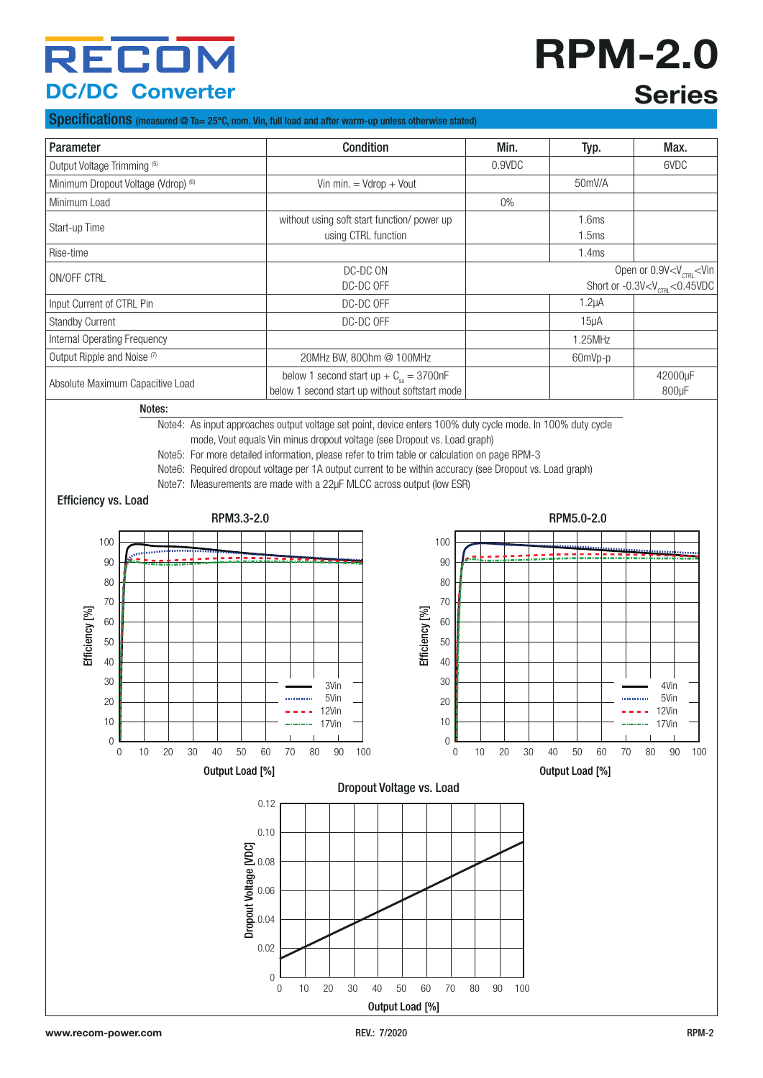# **RPM-2.0 Series**

#### Specifications (measured @ Ta= 25°C, nom. Vin, full load and after warm-up unless otherwise stated)

| Parameter                           | <b>Condition</b>                               | Min.   | Typ.              | Max.                                                      |
|-------------------------------------|------------------------------------------------|--------|-------------------|-----------------------------------------------------------|
| Output Voltage Trimming (5)         |                                                | 0.9VDC |                   | 6VDC                                                      |
| Minimum Dropout Voltage (Vdrop) (6) | Vin min. $=$ Vdrop $+$ Vout                    |        | 50mV/A            |                                                           |
| Minimum Load                        |                                                | $0\%$  |                   |                                                           |
|                                     | without using soft start function/ power up    |        | 1.6ms             |                                                           |
| Start-up Time                       | using CTRL function                            |        | 1.5 <sub>ms</sub> |                                                           |
| Rise-time                           |                                                |        | 1.4ms             |                                                           |
|                                     | DC-DC ON                                       |        |                   | Open or 0.9V <v<sub>CTRL<vin< td=""></vin<></v<sub>       |
| ON/OFF CTRL                         | DC-DC OFF                                      |        |                   | Short or -0.3V <v<math>_{\text{CTR}} &lt;0.45VDC</v<math> |
| Input Current of CTRL Pin           | DC-DC OFF                                      |        | $1.2\mu A$        |                                                           |
| <b>Standby Current</b>              | DC-DC OFF                                      |        | 15 <sub>µ</sub> A |                                                           |
| Internal Operating Frequency        |                                                |        | 1.25MHz           |                                                           |
| Output Ripple and Noise (7)         | 20MHz BW, 800hm @ 100MHz                       |        | 60mVp-p           |                                                           |
| Absolute Maximum Capacitive Load    | below 1 second start up + $C_{ss}$ = 3700nF    |        |                   | 42000uF                                                   |
|                                     | below 1 second start up without softstart mode |        |                   | 800 <sub>µ</sub> F                                        |

Notes:

Note4: As input approaches output voltage set point, device enters 100% duty cycle mode. In 100% duty cycle

mode, Vout equals Vin minus dropout voltage (see Dropout vs. Load graph)

Note5: For more detailed information, please refer to trim table or calculation on page RPM-3

Note6: Required dropout voltage per 1A output current to be within accuracy (see Dropout vs. Load graph)

Note7: Measurements are made with a 22µF MLCC across output (low ESR)

#### Efficiency vs. Load

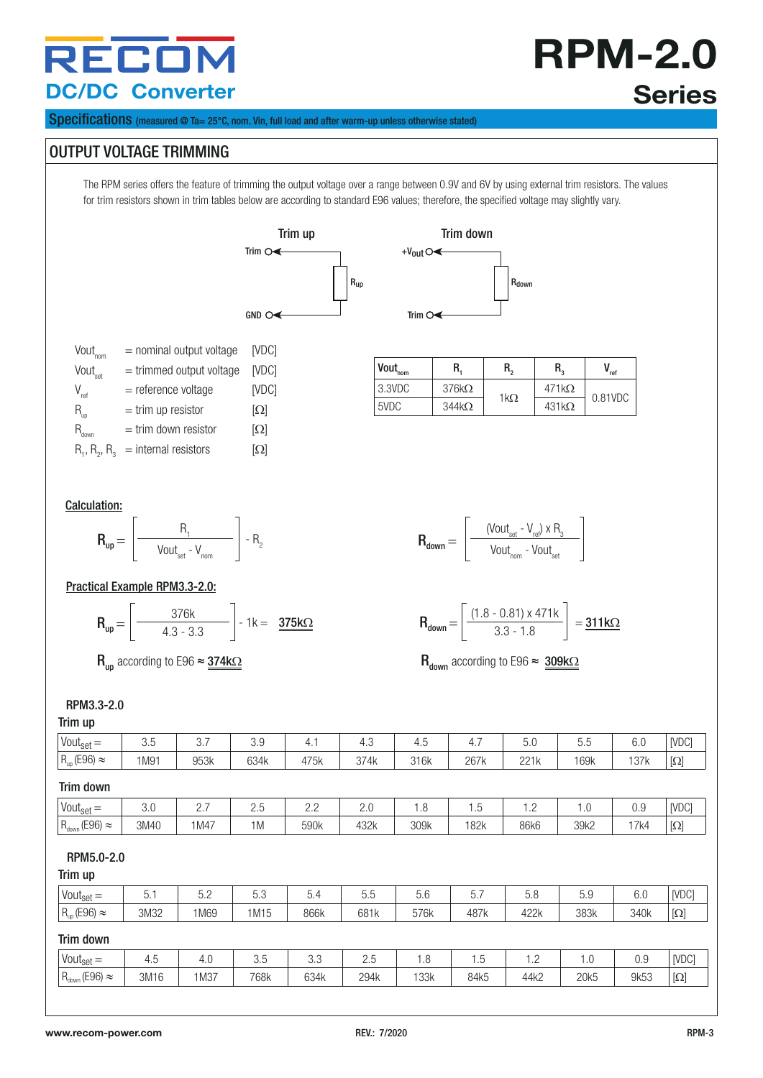**RPM-2.0 Series**

Specifications (measured @ Ta= 25°C, nom. Vin, full load and after warm-up unless otherwise stated)

### OUTPUT VOLTAGE TRIMMING

The RPM series offers the feature of trimming the output voltage over a range between 0.9V and 6V by using external trim resistors. The values for trim resistors shown in trim tables below are according to standard E96 values; therefore, the specified voltage may slightly vary.







| Vout,               | $=$ nominal output voltage           | [VDC]      |
|---------------------|--------------------------------------|------------|
| Vout <sub>set</sub> | $=$ trimmed output voltage           | [VDC]      |
| $V_{ref}$           | $=$ reference voltage                | [VDC]      |
| $R_{\text{up}}$     | $=$ trim up resistor                 | $[\Omega]$ |
| К.                  | $=$ trim down resistor               | $[\Omega]$ |
|                     | $R_1, R_2, R_3$ = internal resistors | $[\Omega]$ |

| $Vout_{nom}$ | R.           | R,          | R.           | ref     |
|--------------|--------------|-------------|--------------|---------|
| 3.3VDC       | $376k\Omega$ | 1k $\Omega$ | $471k\Omega$ | 0.81VDC |
| 5VDC         | $344k\Omega$ |             | $431k\Omega$ |         |

#### Calculation:



#### Practical Example RPM3.3-2.0:

$$
\mathbf{R}_{\mathsf{up}} = \left[\begin{array}{c}376\mathsf{k} \\4.3 \cdot 3.3\end{array}\right] \cdot 1\mathsf{k} = \begin{array}{c}375\mathsf{k}\Omega\end{array}
$$

|            | (Vout <sub>set</sub> - $V_{ref}$ ) x R <sub>3</sub> |  |
|------------|-----------------------------------------------------|--|
| $R_{down}$ | Vout <sub>nom</sub> - Vout <sub>set</sub>           |  |

$$
\mathbf{R}_{\text{down}} = \left[ \frac{(1.8 - 0.81) \times 471 \text{k}}{3.3 - 1.8} \right] = \frac{\mathbf{311 k} \Omega}{}
$$

 $R_{\text{up}}$  according to E96  $\approx$  374k $\Omega$  according to E96  $\approx$  309k $\Omega$ 

#### RPM3.3-2.0

#### Trim up

| $111111 \text{ up}$        |      |      |      |      |      |      |      |      |      |      |                                                                                                                                                                              |
|----------------------------|------|------|------|------|------|------|------|------|------|------|------------------------------------------------------------------------------------------------------------------------------------------------------------------------------|
| Vout $_{\text{set}} =$     | 3.5  | 3.7  | 3.9  | 4.1  | 4.3  | 4.5  | 4.7  | 5.0  | 5.5  | 6.0  | [VDC]                                                                                                                                                                        |
| $R_{up}$ (E96) $\approx$   | 1M91 | 953k | 634k | 475k | 374k | 316k | 267k | 221k | 169k | 137k | $[\Omega]$                                                                                                                                                                   |
| Trim down                  |      |      |      |      |      |      |      |      |      |      |                                                                                                                                                                              |
| $Vout_{\text{set}} =$      | 3.0  | 2.7  | 2.5  | 2.2  | 2.0  | 1.8  | 1.5  | 1.2  | 1.0  | 0.9  | [VDC]                                                                                                                                                                        |
| $R_{down}$ (E96) $\approx$ | 3M40 | 1M47 | 1M   | 590k | 432k | 309k | 182k | 86k6 | 39k2 | 17k4 | $[\Omega] % \centering \includegraphics[width=0.9\columnwidth]{figures/fig_10.pdf} \caption{The figure shows the number of parameters in the left and right.} \label{fig:2}$ |
| RPM5.0-2.0<br>Trim up      |      |      |      |      |      |      |      |      |      |      |                                                                                                                                                                              |
| Vout <sub>set</sub> $=$    | 5.1  | 5.2  | 5.3  | 5.4  | 5.5  | 5.6  | 5.7  | 5.8  | 5.9  | 6.0  | [VDC]                                                                                                                                                                        |
| $R_{up}$ (E96) $\approx$   | 3M32 | 1M69 | 1M15 | 866k | 681k | 576k | 487k | 422k | 383k | 340k | $[\Omega] % \centering \includegraphics[width=0.9\columnwidth]{figures/fig_10.pdf} \caption{The figure shows the number of parameters in the left and right.} \label{fig:2}$ |
| Trim down                  |      |      |      |      |      |      |      |      |      |      |                                                                                                                                                                              |

| <b>www.</b>                   |      |      |                    |                      |                        |      |      |              |      |      |          |
|-------------------------------|------|------|--------------------|----------------------|------------------------|------|------|--------------|------|------|----------|
| Vout <sub>set</sub><br>–<br>- | ′+.ັ | 4.U  | -<br>$\sim$<br>u.u | $\sim$ $\sim$<br>U.U | $\sim$ $\sim$<br>ت . ک | ن. ا | ٠    | $\cdot$<br>. | ں،   | 0.9  | [VDC]    |
| $R_{down}$ (E96)<br>$\approx$ | 3M16 | 1M37 | 768k               | 634k                 | 294k                   | 133k | 84k5 | 44k2         | 20k5 | 9k53 | $\Omega$ |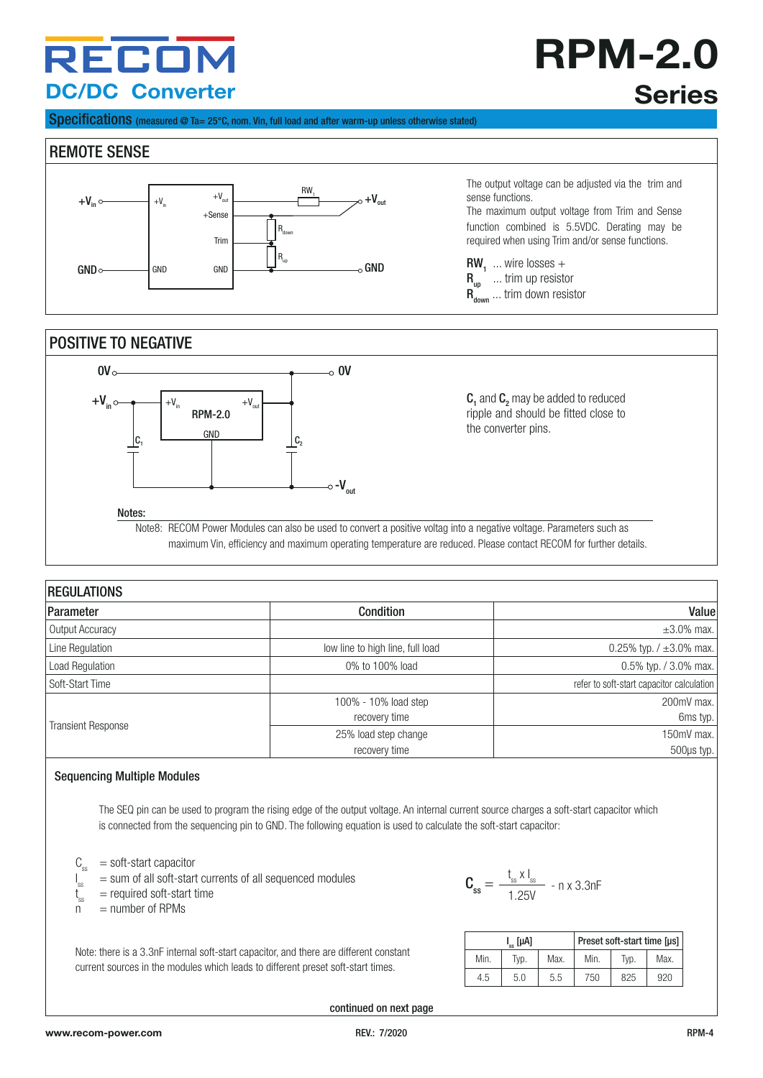# **RPM-2.0 Series**

Specifications (measured @ Ta= 25°C, nom. Vin, full load and after warm-up unless otherwise stated)

#### REMOTE SENSE



POSITIVE TO NEGATIVE



Note8: RECOM Power Modules can also be used to convert a positive voltag into a negative voltage. Parameters such as maximum Vin, efficiency and maximum operating temperature are reduced. Please contact RECOM for further details.

| <b>REGULATIONS</b>        |                                  |                                           |  |  |  |  |  |  |
|---------------------------|----------------------------------|-------------------------------------------|--|--|--|--|--|--|
| Parameter                 | <b>Condition</b>                 | Value                                     |  |  |  |  |  |  |
| Output Accuracy           |                                  | $\pm 3.0\%$ max.                          |  |  |  |  |  |  |
| Line Regulation           | low line to high line, full load | 0.25% typ. $/ \pm 3.0$ % max.             |  |  |  |  |  |  |
| Load Regulation           | 0% to 100% load                  | 0.5% typ. / 3.0% max.                     |  |  |  |  |  |  |
| Soft-Start Time           |                                  | refer to soft-start capacitor calculation |  |  |  |  |  |  |
|                           | 100% - 10% load step             | 200mV max.                                |  |  |  |  |  |  |
|                           | recovery time                    | 6ms typ.                                  |  |  |  |  |  |  |
| <b>Transient Response</b> | 25% load step change             | 150mV max.                                |  |  |  |  |  |  |
|                           | recovery time                    | 500µs typ.                                |  |  |  |  |  |  |

#### Sequencing Multiple Modules

The SEQ pin can be used to program the rising edge of the output voltage. An internal current source charges a soft-start capacitor which is connected from the sequencing pin to GND. The following equation is used to calculate the soft-start capacitor:

 $C_{ss}$  = soft-start capacitor

- $I_{ss}$  = sum of all soft-start currents of all sequenced modules
- t<sub>ss</sub>  $\mathbf{t}_{\text{ss}}^{\dagger}$  = required soft-start time<br>  $\mathbf{n}$  = number of RPMs
- $=$  number of RPMs

Note: there is a 3.3nF internal soft-start capacitor, and there are different constant current sources in the modules which leads to different preset soft-start times.

$$
\mathbf{C_{ss}} = \frac{t_{ss} \times l_{ss}}{1.25V} - n \times 3.3nF
$$

 $\text{RW}_1$  ... wire losses +  $R_{\text{up}}$  ... trim up resistor  $R_{down}$  ... trim down resistor

sense functions.

The output voltage can be adjusted via the trim and

The maximum output voltage from Trim and Sense function combined is 5.5VDC. Derating may be required when using Trim and/or sense functions.

|      | l <sub></sub> [μΑ] |      |      | Preset soft-start time [µs] |      |
|------|--------------------|------|------|-----------------------------|------|
| Min. | Typ.               | Max. | Min. | Tvp.                        | Max. |
| 4.5  | 5.0                | 5.5  | 750  | 825                         | 920  |

continued on next page

I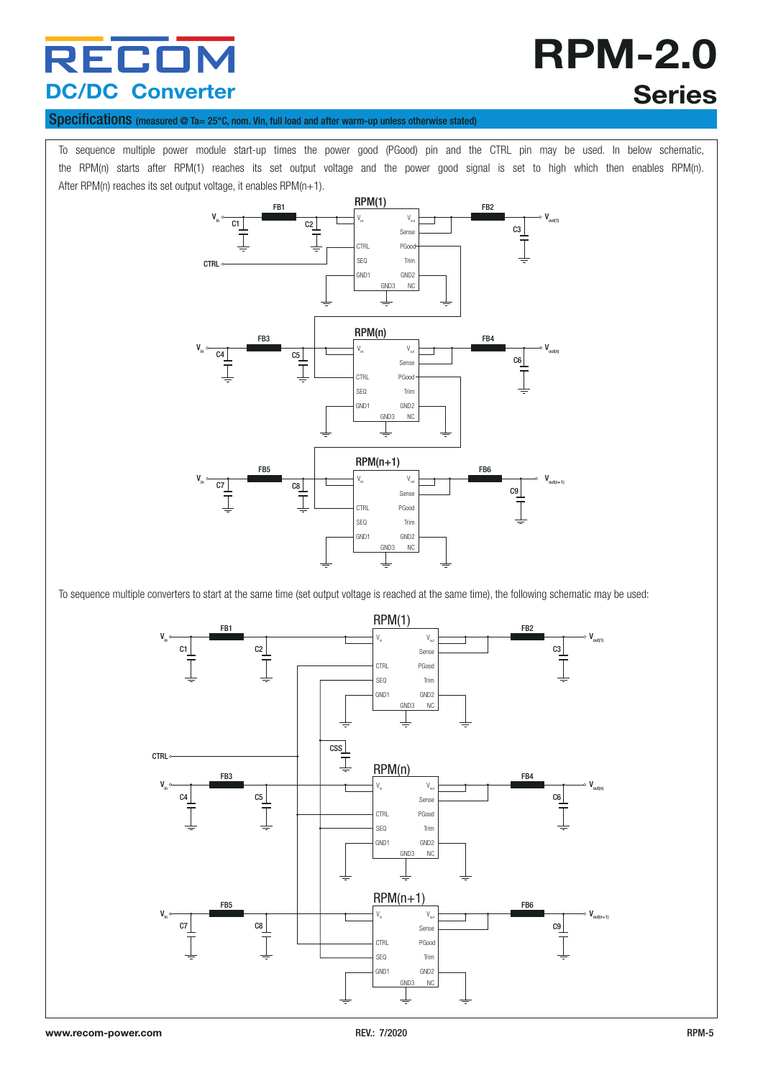# **RPM-2.0 Series**

#### Specifications (measured @ Ta= 25°C, nom. Vin, full load and after warm-up unless otherwise stated)

To sequence multiple power module start-up times the power good (PGood) pin and the CTRL pin may be used. In below schematic, the RPM(n) starts after RPM(1) reaches its set output voltage and the power good signal is set to high which then enables RPM(n). After RPM(n) reaches its set output voltage, it enables RPM(n+1).



To sequence multiple converters to start at the same time (set output voltage is reached at the same time), the following schematic may be used:

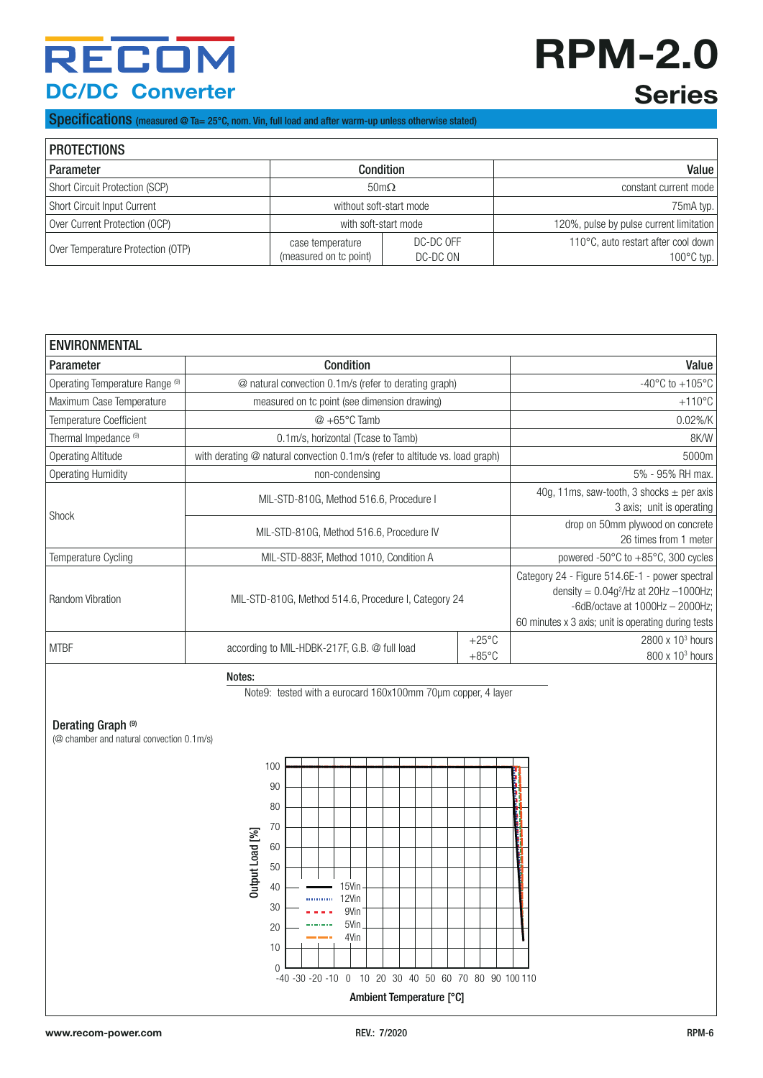# **RPM-2.0 Series**

Specifications (measured @ Ta= 25°C, nom. Vin, full load and after warm-up unless otherwise stated)

| <b>PROTECTIONS</b>                |                                            |                         |                                                             |  |  |  |  |  |  |
|-----------------------------------|--------------------------------------------|-------------------------|-------------------------------------------------------------|--|--|--|--|--|--|
| Parameter                         |                                            | <b>Condition</b>        | Value                                                       |  |  |  |  |  |  |
| Short Circuit Protection (SCP)    |                                            | $50 \text{m}\Omega$     | constant current mode                                       |  |  |  |  |  |  |
| Short Circuit Input Current       |                                            | without soft-start mode | 75mA typ.                                                   |  |  |  |  |  |  |
| Over Current Protection (OCP)     | with soft-start mode                       |                         | 120%, pulse by pulse current limitation                     |  |  |  |  |  |  |
| Over Temperature Protection (OTP) | case temperature<br>(measured on to point) | DC-DC OFF<br>DC-DC ON   | 110°C, auto restart after cool down<br>$100^{\circ}$ C typ. |  |  |  |  |  |  |

| <b>ENVIRONMENTAL</b>            |                                                                              |                                    |                                                                                                                                                                                           |  |  |  |  |
|---------------------------------|------------------------------------------------------------------------------|------------------------------------|-------------------------------------------------------------------------------------------------------------------------------------------------------------------------------------------|--|--|--|--|
| <b>Parameter</b>                | <b>Condition</b>                                                             |                                    | Value                                                                                                                                                                                     |  |  |  |  |
| Operating Temperature Range (9) | @ natural convection 0.1m/s (refer to derating graph)                        |                                    | $-40^{\circ}$ C to $+105^{\circ}$ C                                                                                                                                                       |  |  |  |  |
| Maximum Case Temperature        | measured on tc point (see dimension drawing)                                 |                                    | $+110^{\circ}$ C                                                                                                                                                                          |  |  |  |  |
| <b>Temperature Coefficient</b>  | $@ + 65°C$ Tamb                                                              |                                    | $0.02\%$ /K                                                                                                                                                                               |  |  |  |  |
| Thermal Impedance (9)           | 0.1 m/s, horizontal (Tcase to Tamb)                                          |                                    | 8K/W                                                                                                                                                                                      |  |  |  |  |
| <b>Operating Altitude</b>       | with derating @ natural convection 0.1m/s (refer to altitude vs. load graph) |                                    | 5000m                                                                                                                                                                                     |  |  |  |  |
| <b>Operating Humidity</b>       | non-condensing                                                               |                                    | 5% - 95% RH max.                                                                                                                                                                          |  |  |  |  |
|                                 | MIL-STD-810G, Method 516.6, Procedure I                                      |                                    | 40g, 11ms, saw-tooth, 3 shocks $\pm$ per axis<br>3 axis; unit is operating                                                                                                                |  |  |  |  |
| <b>Shock</b>                    | MIL-STD-810G, Method 516.6, Procedure IV                                     |                                    | drop on 50mm plywood on concrete<br>26 times from 1 meter                                                                                                                                 |  |  |  |  |
| Temperature Cycling             | MIL-STD-883F, Method 1010, Condition A                                       |                                    | powered -50 $\degree$ C to +85 $\degree$ C, 300 cycles                                                                                                                                    |  |  |  |  |
| Random Vibration                | MIL-STD-810G, Method 514.6, Procedure I, Category 24                         |                                    | Category 24 - Figure 514.6E-1 - power spectral<br>density = $0.04g^2$ /Hz at 20Hz -1000Hz;<br>-6dB/octave at $1000$ Hz $-$ 2000Hz;<br>60 minutes x 3 axis; unit is operating during tests |  |  |  |  |
| <b>MTBF</b>                     | according to MIL-HDBK-217F, G.B. @ full load                                 | $+25^{\circ}$ C<br>$+85^{\circ}$ C | $2800 \times 10^3$ hours<br>$800 \times 10^3$ hours                                                                                                                                       |  |  |  |  |

Notes:

Note9: tested with a eurocard 160x100mm 70µm copper, 4 layer

#### Derating Graph<sup>(9)</sup>

(@ chamber and natural convection 0.1m/s)

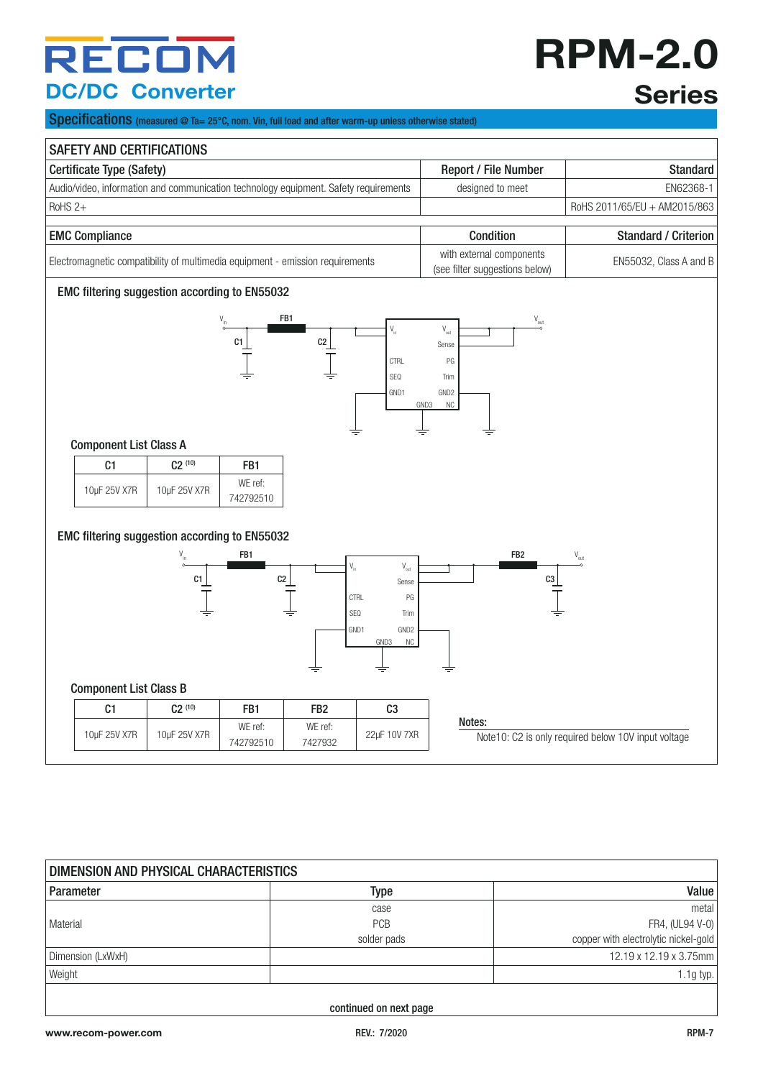# **RPM-2.0 Series**

Specifications (measured @ Ta= 25°C, nom. Vin, full load and after warm-up unless otherwise stated)

|                                                                                      | Certificate Type (Safety) |                      |                                                            |                                                                    |                                                                                             | Report / File Number        | <b>Standard</b>              |
|--------------------------------------------------------------------------------------|---------------------------|----------------------|------------------------------------------------------------|--------------------------------------------------------------------|---------------------------------------------------------------------------------------------|-----------------------------|------------------------------|
| Audio/video, information and communication technology equipment. Safety requirements |                           |                      |                                                            | designed to meet                                                   |                                                                                             | EN62368-1                   |                              |
| RoHS <sub>2+</sub>                                                                   |                           |                      |                                                            |                                                                    |                                                                                             |                             | RoHS 2011/65/EU + AM2015/863 |
| <b>EMC Compliance</b>                                                                |                           |                      |                                                            |                                                                    | Condition                                                                                   |                             | <b>Standard / Criterion</b>  |
| Electromagnetic compatibility of multimedia equipment - emission requirements        |                           |                      | with external components<br>(see filter suggestions below) |                                                                    | EN55032, Class A and B                                                                      |                             |                              |
| EMC filtering suggestion according to EN55032                                        |                           |                      |                                                            |                                                                    |                                                                                             |                             |                              |
|                                                                                      |                           | FB1<br>C1            | C2                                                         | $\mathsf{V}_{\mathsf{in}}$<br><b>CTRL</b><br>SEQ<br>GND1           | $\mathsf{V}_{\mathsf{out}}$<br>Sense<br>PG<br>Trim<br>GND <sub>2</sub><br>GND3<br><b>NC</b> | $\mathsf{V}_{\mathsf{out}}$ |                              |
| <b>Component List Class A</b>                                                        |                           |                      |                                                            |                                                                    | ≑                                                                                           |                             |                              |
| C1                                                                                   | $C2^{(10)}$               | FB1                  |                                                            |                                                                    |                                                                                             |                             |                              |
| 10µF 25V X7R                                                                         | 10µF 25V X7R              | WE ref:<br>742792510 |                                                            |                                                                    |                                                                                             |                             |                              |
| EMC filtering suggestion according to EN55032                                        | C1                        | FB1<br>C2            | $\mathsf{V}_{\mathsf{in}}$                                 | $\mathsf{V}_{\mathsf{out}}$<br>Sense<br><b>CTRL</b><br>PG          | FB <sub>2</sub>                                                                             | C3                          | $\mathsf{V}_{\mathsf{out}}$  |
|                                                                                      |                           |                      | SEQ                                                        | Trim<br>GND1<br>GND <sub>2</sub><br>GND3<br><b>NC</b><br>$\, = \,$ |                                                                                             |                             |                              |
| <b>Component List Class B</b>                                                        |                           |                      |                                                            |                                                                    |                                                                                             |                             |                              |
| C1                                                                                   | $C2^{(10)}$               | FB1                  | FB <sub>2</sub>                                            | C <sub>3</sub>                                                     | Notes:                                                                                      |                             |                              |

| DIMENSION AND PHYSICAL CHARACTERISTICS |             |                                      |  |  |  |  |
|----------------------------------------|-------------|--------------------------------------|--|--|--|--|
| Parameter                              | Type        | Value                                |  |  |  |  |
|                                        | case        | metal                                |  |  |  |  |
| Material                               | <b>PCB</b>  | FR4, (UL94 V-0)                      |  |  |  |  |
|                                        | solder pads | copper with electrolytic nickel-gold |  |  |  |  |
| Dimension (LxWxH)                      |             | 12.19 x 12.19 x 3.75mm               |  |  |  |  |
| Weight                                 |             | $1.1g$ typ. $\mathsf{I}$             |  |  |  |  |
|                                        |             |                                      |  |  |  |  |

continued on next page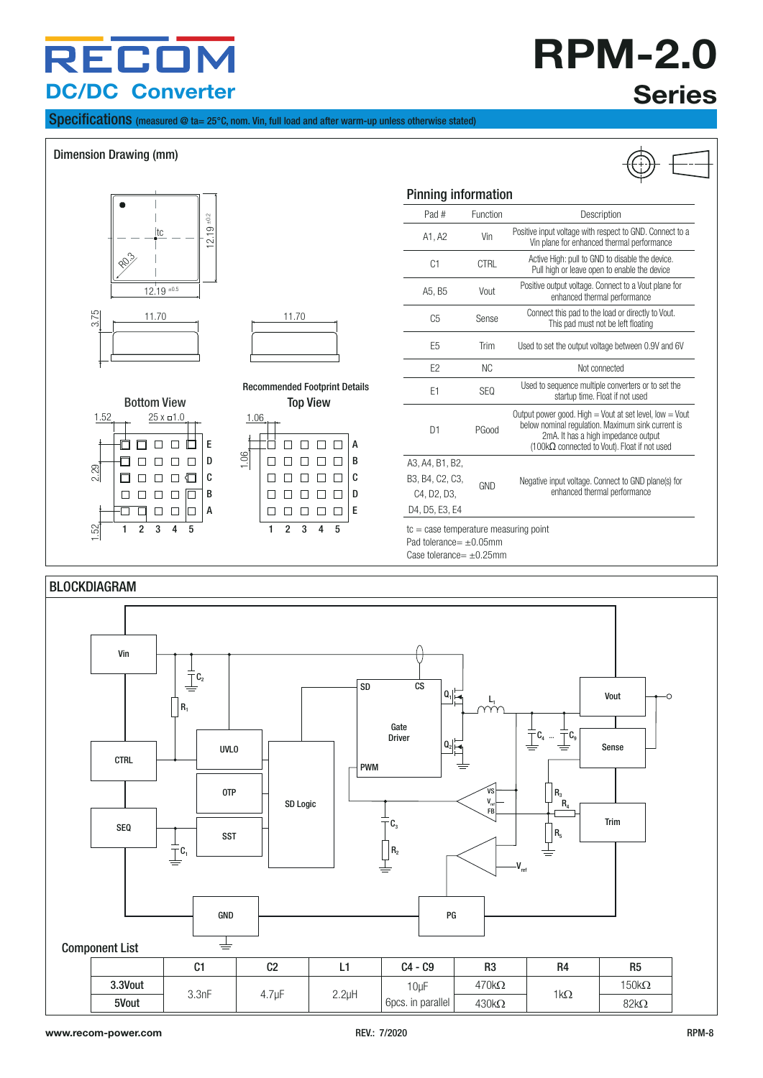# **RPM-2.0 Series**

Specifications (measured @ ta= 25°C, nom. Vin, full load and after warm-up unless otherwise stated)

#### Dimension Drawing (mm)



Case tolerance=  $+0.25$ mm